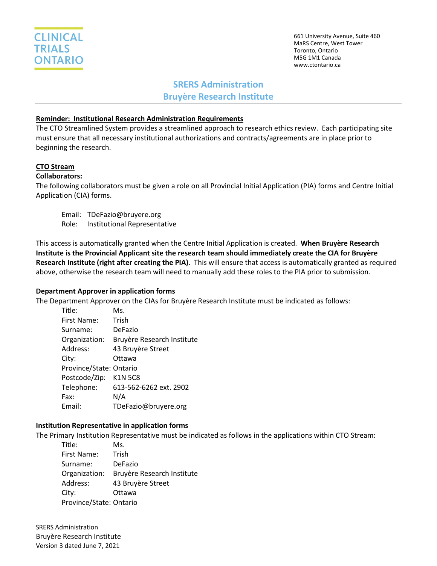

661 University Avenue, Suite 460 MaRS Centre, West Tower Toronto, Ontario M5G 1M1 Canada www.ctontario.ca

## **SRERS Administration**

**Bruyère Research Institute**

### **Reminder: Institutional Research Administration Requirements**

The CTO Streamlined System provides a streamlined approach to research ethics review. Each participating site must ensure that all necessary institutional authorizations and contracts/agreements are in place prior to beginning the research.

# **CTO Stream**

## **Collaborators:**

The following collaborators must be given a role on all Provincial Initial Application (PIA) forms and Centre Initial Application (CIA) forms.

Email: TDeFazio@bruyere.org Role: Institutional Representative

This access is automatically granted when the Centre Initial Application is created. **When Bruyère Research Institute is the Provincial Applicant site the research team should immediately create the CIA for Bruyère Research Institute (right after creating the PIA)**. This will ensure that access is automatically granted as required above, otherwise the research team will need to manually add these roles to the PIA prior to submission.

#### **Department Approver in application forms**

The Department Approver on the CIAs for Bruyère Research Institute must be indicated as follows:

| Title:                  | Ms.                        |
|-------------------------|----------------------------|
| First Name:             | Trish                      |
| Surname:                | DeFazio                    |
| Organization:           | Bruyère Research Institute |
| Address:                | 43 Bruyère Street          |
| City:                   | Ottawa                     |
| Province/State: Ontario |                            |
| Postcode/Zip:           | <b>K1N 5C8</b>             |
| Telephone:              | 613-562-6262 ext. 2902     |
| Fax:                    | N/A                        |
| Email:                  | TDeFazio@bruyere.org       |

#### **Institution Representative in application forms**

The Primary Institution Representative must be indicated as follows in the applications within CTO Stream:

| Title:                  | Ms.                        |
|-------------------------|----------------------------|
| First Name:             | Trish                      |
| Surname:                | DeFazio                    |
| Organization:           | Bruyère Research Institute |
| Address:                | 43 Bruyère Street          |
| City:                   | Ottawa                     |
| Province/State: Ontario |                            |

SRERS Administration Bruyère Research Institute Version 3 dated June 7, 2021